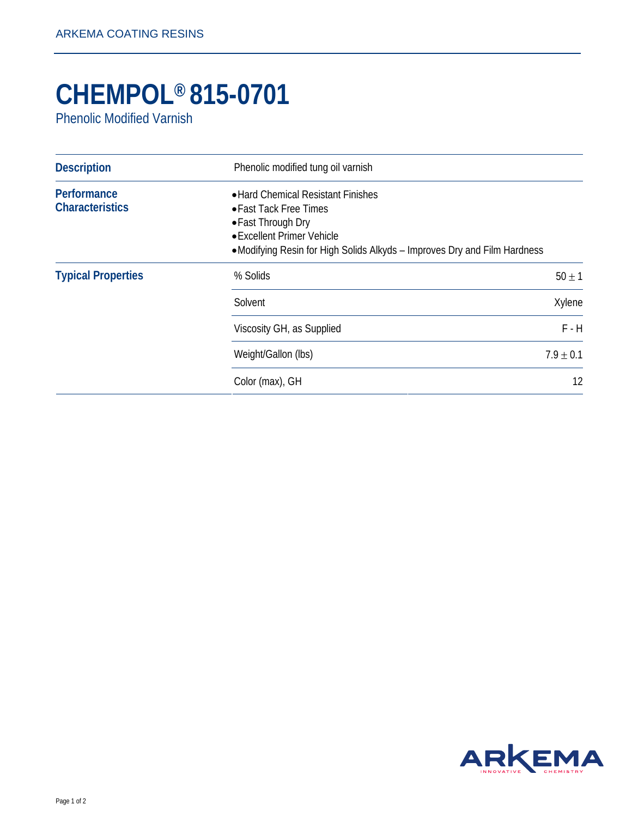## **CHEMPOL® 815-0701**

Phenolic Modified Varnish

| <b>Description</b>                    | Phenolic modified tung oil varnish                                                                                                                                                           |               |
|---------------------------------------|----------------------------------------------------------------------------------------------------------------------------------------------------------------------------------------------|---------------|
| Performance<br><b>Characteristics</b> | • Hard Chemical Resistant Finishes<br>• Fast Tack Free Times<br>• Fast Through Dry<br>• Excellent Primer Vehicle<br>•Modifying Resin for High Solids Alkyds - Improves Dry and Film Hardness |               |
| <b>Typical Properties</b>             | % Solids                                                                                                                                                                                     | $50 \pm 1$    |
|                                       | Solvent                                                                                                                                                                                      | Xylene        |
|                                       | Viscosity GH, as Supplied                                                                                                                                                                    | $F - H$       |
|                                       | Weight/Gallon (lbs)                                                                                                                                                                          | $7.9 \pm 0.1$ |
|                                       | Color (max), GH                                                                                                                                                                              | 12            |